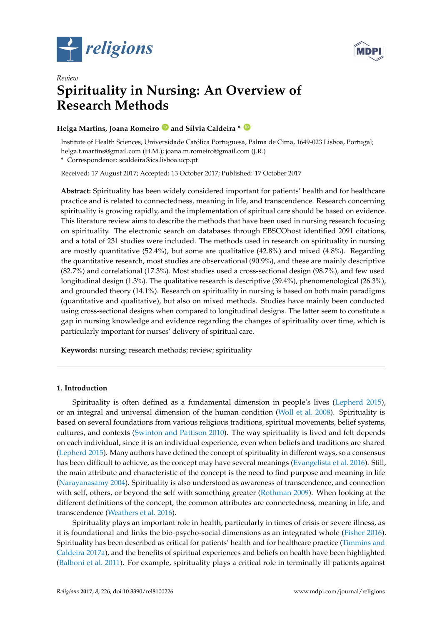



# *Review* **Spirituality in Nursing: An Overview of Research Methods**

## **Helga Martins, Joana Romeiro [ID](https://orcid.org/0000-0001-8867-2183) and Sílvia Caldeira \* [ID](https://orcid.org/0000-0002-9804-2297)**

Institute of Health Sciences, Universidade Católica Portuguesa, Palma de Cima, 1649-023 Lisboa, Portugal; helga.t.martins@gmail.com (H.M.); joana.m.romeiro@gmail.com (J.R.)

**\*** Correspondence: scaldeira@ics.lisboa.ucp.pt

Received: 17 August 2017; Accepted: 13 October 2017; Published: 17 October 2017

**Abstract:** Spirituality has been widely considered important for patients' health and for healthcare practice and is related to connectedness, meaning in life, and transcendence. Research concerning spirituality is growing rapidly, and the implementation of spiritual care should be based on evidence. This literature review aims to describe the methods that have been used in nursing research focusing on spirituality. The electronic search on databases through EBSCOhost identified 2091 citations, and a total of 231 studies were included. The methods used in research on spirituality in nursing are mostly quantitative (52.4%), but some are qualitative (42.8%) and mixed (4.8%). Regarding the quantitative research, most studies are observational (90.9%), and these are mainly descriptive (82.7%) and correlational (17.3%). Most studies used a cross-sectional design (98.7%), and few used longitudinal design (1.3%). The qualitative research is descriptive (39.4%), phenomenological (26.3%), and grounded theory (14.1%). Research on spirituality in nursing is based on both main paradigms (quantitative and qualitative), but also on mixed methods. Studies have mainly been conducted using cross-sectional designs when compared to longitudinal designs. The latter seem to constitute a gap in nursing knowledge and evidence regarding the changes of spirituality over time, which is particularly important for nurses' delivery of spiritual care.

**Keywords:** nursing; research methods; review; spirituality

### **1. Introduction**

Spirituality is often defined as a fundamental dimension in people's lives [\(Lepherd](#page-10-0) [2015\)](#page-10-0), or an integral and universal dimension of the human condition [\(Woll et al.](#page-11-0) [2008\)](#page-11-0). Spirituality is based on several foundations from various religious traditions, spiritual movements, belief systems, cultures, and contexts [\(Swinton and Pattison](#page-10-1) [2010\)](#page-10-1). The way spirituality is lived and felt depends on each individual, since it is an individual experience, even when beliefs and traditions are shared [\(Lepherd](#page-10-0) [2015\)](#page-10-0). Many authors have defined the concept of spirituality in different ways, so a consensus has been difficult to achieve, as the concept may have several meanings [\(Evangelista et al.](#page-9-0) [2016\)](#page-9-0). Still, the main attribute and characteristic of the concept is the need to find purpose and meaning in life [\(Narayanasamy](#page-10-2) [2004\)](#page-10-2). Spirituality is also understood as awareness of transcendence, and connection with self, others, or beyond the self with something greater [\(Rothman](#page-10-3) [2009\)](#page-10-3). When looking at the different definitions of the concept, the common attributes are connectedness, meaning in life, and transcendence [\(Weathers et al.](#page-11-1) [2016\)](#page-11-1).

Spirituality plays an important role in health, particularly in times of crisis or severe illness, as it is foundational and links the bio-psycho-social dimensions as an integrated whole [\(Fisher](#page-9-1) [2016\)](#page-9-1). Spirituality has been described as critical for patients' health and for healthcare practice [\(Timmins and](#page-10-4) [Caldeira](#page-10-4) [2017a\)](#page-10-4), and the benefits of spiritual experiences and beliefs on health have been highlighted [\(Balboni et al.](#page-9-2) [2011\)](#page-9-2). For example, spirituality plays a critical role in terminally ill patients against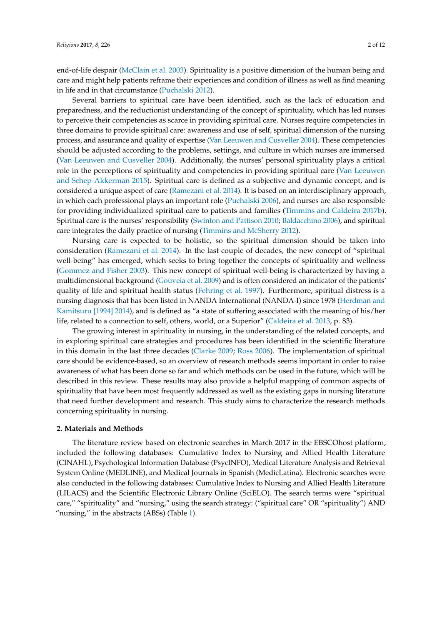end-of-life despair [\(McClain et al.](#page-10-5) [2003\)](#page-10-5). Spirituality is a positive dimension of the human being and care and might help patients reframe their experiences and condition of illness as well as find meaning in life and in that circumstance [\(Puchalski](#page-10-6) [2012\)](#page-10-6).

Several barriers to spiritual care have been identified, such as the lack of education and preparedness, and the reductionist understanding of the concept of spirituality, which has led nurses to perceive their competencies as scarce in providing spiritual care. Nurses require competencies in three domains to provide spiritual care: awareness and use of self, spiritual dimension of the nursing process, and assurance and quality of expertise [\(Van Leeuwen and Cusveller](#page-11-2) [2004\)](#page-11-2). These competencies should be adjusted according to the problems, settings, and culture in which nurses are immersed [\(Van Leeuwen and Cusveller](#page-11-2) [2004\)](#page-11-2). Additionally, the nurses' personal spirituality plays a critical role in the perceptions of spirituality and competencies in providing spiritual care [\(Van Leeuwen](#page-11-3) [and Schep-Akkerman](#page-11-3) [2015\)](#page-11-3). Spiritual care is defined as a subjective and dynamic concept, and is considered a unique aspect of care [\(Ramezani et al.](#page-10-7) [2014\)](#page-10-7). It is based on an interdisciplinary approach, in which each professional plays an important role [\(Puchalski](#page-10-8) [2006\)](#page-10-8), and nurses are also responsible for providing individualized spiritual care to patients and families [\(Timmins and Caldeira](#page-11-4) [2017b\)](#page-11-4). Spiritual care is the nurses' responsibility [\(Swinton and Pattison](#page-10-1) [2010;](#page-10-1) [Baldacchino](#page-9-3) [2006\)](#page-9-3), and spiritual care integrates the daily practice of nursing [\(Timmins and McSherry](#page-11-5) [2012\)](#page-11-5).

Nursing care is expected to be holistic, so the spiritual dimension should be taken into consideration [\(Ramezani et al.](#page-10-7) [2014\)](#page-10-7). In the last couple of decades, the new concept of "spiritual well-being" has emerged, which seeks to bring together the concepts of spirituality and wellness [\(Gommez and Fisher](#page-9-4) [2003\)](#page-9-4). This new concept of spiritual well-being is characterized by having a multidimensional background [\(Gouveia et al.](#page-10-9) [2009\)](#page-10-9) and is often considered an indicator of the patients' quality of life and spiritual health status [\(Fehring et al.](#page-9-5) [1997\)](#page-9-5). Furthermore, spiritual distress is a nursing diagnosis that has been listed in NANDA International (NANDA-I) since 1978 [\(Herdman and](#page-10-10) [Kamitsuru](#page-10-10) [1994] [2014\)](#page-10-10), and is defined as "a state of suffering associated with the meaning of his/her life, related to a connection to self, others, world, or a Superior" [\(Caldeira et al.](#page-9-6) [2013,](#page-9-6) p. 83).

The growing interest in spirituality in nursing, in the understanding of the related concepts, and in exploring spiritual care strategies and procedures has been identified in the scientific literature in this domain in the last three decades [\(Clarke](#page-9-7) [2009;](#page-9-7) [Ross](#page-10-11) [2006\)](#page-10-11). The implementation of spiritual care should be evidence-based, so an overview of research methods seems important in order to raise awareness of what has been done so far and which methods can be used in the future, which will be described in this review. These results may also provide a helpful mapping of common aspects of spirituality that have been most frequently addressed as well as the existing gaps in nursing literature that need further development and research. This study aims to characterize the research methods concerning spirituality in nursing.

### **2. Materials and Methods**

The literature review based on electronic searches in March 2017 in the EBSCOhost platform, included the following databases: Cumulative Index to Nursing and Allied Health Literature (CINAHL), Psychological Information Database (PsycINFO), Medical Literature Analysis and Retrieval System Online (MEDLINE), and Medical Journals in Spanish (MedicLatina). Electronic searches were also conducted in the following databases: Cumulative Index to Nursing and Allied Health Literature (LILACS) and the Scientific Electronic Library Online (SciELO). The search terms were "spiritual care," "spirituality" and "nursing," using the search strategy: ("spiritual care" OR "spirituality") AND "nursing," in the abstracts (ABSs) (Table [1\)](#page-2-0).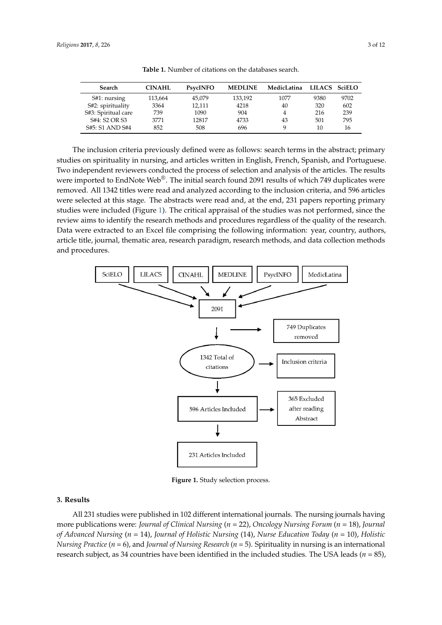<span id="page-2-0"></span>

| Search              | <b>CINAHL</b> | <b>PsycINFO</b> | <b>MEDLINE</b> | MedicLatina | LILACS SciELO |      |
|---------------------|---------------|-----------------|----------------|-------------|---------------|------|
| $St1:$ nursing      | 113.664       | 45.079          | 133,192        | 1077        | 9380          | 9702 |
| S#2: spirituality   | 3364          | 12.111          | 4218           | 40          | 320           | 602  |
| S#3: Spiritual care | 739           | 1090            | 904            |             | 216           | 239  |
| S#4: S2 OR S3       | 3771          | 12817           | 4733           | 43          | 501           | 795  |
| S#5: S1 AND S#4     | 852           | 508             | 696            |             | 10            | 16   |

S#4: S2 OR S3 3771 12817 4733 43 501 795

**Table 1.** Number of citations on the databases search.

The inclusion criteria previously defined were as follows: search terms in the abstract; primary studies on spirituality in nursing, and articles written in English, French, Spanish, and Portuguese. Two independent reviewers conducted the process of selection and analysis of the articles. The results were imported to EndNote Web $^{\circledR}$ . The initial search found 2091 results of which 749 duplicates were removed. All 1342 titles were read and analyzed according to the inclusion criteria, and 596 articles were selected at this stage. The abstracts were read and, at the end, 231 papers reporting primary studies were included (Figure [1\)](#page-2-1). The critical appraisal of the studies was not performed, since the review aims to identify the research methods and procedures regardless of the quality of the research. Data were extracted to an Excel file comprising the following information: year, country, authors, article title, journal, thematic area, research paradigm, research methods, and data collection methods and procedures. performed to identify the research methods and procedures regardless of the quality of the research

<span id="page-2-1"></span>

**Figure 1.** Study selection process. **Figure 1.** Study selection process.

## **3. Results 3. Results**

 $\alpha$  studies were published in 102 different international journals. The nursing journals. The nursing journals. The nursing journals. The nursing journals. The nursing journals. The nursing journals. The nursing journals All 231 studies were published in 102 different international journals. The nursing journals having more publications were: Journal of Clinical Nursing ( $n=$  22), Oncology Nursing Forum ( $n=$  18), Journal of Advanced Nursing (n = 14), Journal of Holistic Nursing (14), Nurse Education Today (n = 10), Holistic N*ursing Practice (n = 6),* and *Journal of Nursing Research (n =* 5). Spirituality in nursing is an international research subject, as 34 countries have been identified in the included studies. The USA leads ( $n = 85$ ),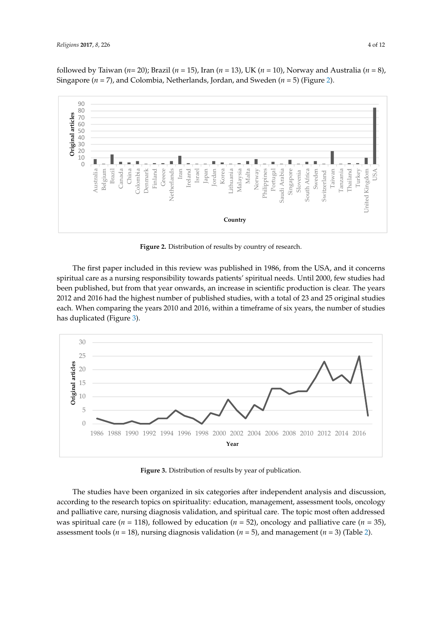followed by Taiwan (*n*= 20); Brazil (*n* = 15), Iran (*n* = 13), UK (*n* = 10), Norway and Australia (*n* = 8), Singapore (*n* = 7), and Colombia, Netherlands, Jordan, and Sweden (*n* = 5) (Figure [2\)](#page-3-0).

<span id="page-3-0"></span>

**Figure 2.** Distribution of results by country of research. **Figure 2.** Distribution of results by country of research. **Figure 2.** Distribution of results by country of research.

The first paper included in this review was published in 1986, from the USA, and it concerns spiritual care as a nursing responsibility towards patients' spiritual needs. Until 2000, few studies had been published, but from that year onwards, an increase in scientific production is clear. The years 2012 and 2016 had the highest number of published studies, with a total of 23 and 25 original studies each. When comparing the years 2010 and 2016, within a timeframe of six years, the number of studies has duplicated (Figure [3\)](#page-3-1).

<span id="page-3-1"></span>

**Figure 3.** Distribution of results by year of publication. **Figure 3.** Distribution of results by year of publication. **Figure 3.** Distribution of results by year of publication.

The studies have been organized in six categories after independent analysis and discussion, according to the research topics on spirituality: education, management, assessment tools, oncology and palliative care, nursing diagnosis validation, and spiritual care. The topic most often addressed was spiritual care ( $n = 118$ ), followed by education ( $n = 52$ ), oncology and palliative care ( $n = 35$ ), assessment tools ( $n = 18$ ), nursing diagnosis validation ( $n = 5$ ), and management ( $n = 3$ ) (Table [2\)](#page-4-0).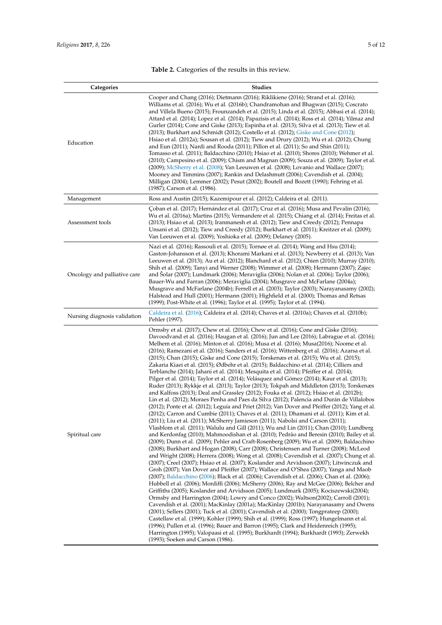<span id="page-4-0"></span>

| Categories                   | <b>Studies</b>                                                                                                                                                                                                                                                                                                                                                                                                                                                                                                                                                                                                                                                                                                                                                                                                                                                                                                                                                                                                                                                                                                                                                                                                                                                                                                                                                                                                                                                                                                                                                                                                                                                                                                                                                                                                                                                                                                                                                                                                                                                                                                                                                                                                                                                                                                                                                                                                                                                                                                                                                                                                                                                                                                                                                                                                                                                                                                                     |
|------------------------------|------------------------------------------------------------------------------------------------------------------------------------------------------------------------------------------------------------------------------------------------------------------------------------------------------------------------------------------------------------------------------------------------------------------------------------------------------------------------------------------------------------------------------------------------------------------------------------------------------------------------------------------------------------------------------------------------------------------------------------------------------------------------------------------------------------------------------------------------------------------------------------------------------------------------------------------------------------------------------------------------------------------------------------------------------------------------------------------------------------------------------------------------------------------------------------------------------------------------------------------------------------------------------------------------------------------------------------------------------------------------------------------------------------------------------------------------------------------------------------------------------------------------------------------------------------------------------------------------------------------------------------------------------------------------------------------------------------------------------------------------------------------------------------------------------------------------------------------------------------------------------------------------------------------------------------------------------------------------------------------------------------------------------------------------------------------------------------------------------------------------------------------------------------------------------------------------------------------------------------------------------------------------------------------------------------------------------------------------------------------------------------------------------------------------------------------------------------------------------------------------------------------------------------------------------------------------------------------------------------------------------------------------------------------------------------------------------------------------------------------------------------------------------------------------------------------------------------------------------------------------------------------------------------------------------------|
| Education                    | Cooper and Chang (2016); Dietmann (2016); Riklikiene (2016); Strand et al. (2016);<br>Williams et al. (2016); Wu et al. (2016b); Chandramohan and Bhagwan (2015); Coscrato<br>and Villela Bueno (2015); Frounzandeh et al. (2015); Linda et al. (2015); Abbasi et al. (2014);<br>Attard et al. (2014); Lopez et al. (2014); Papazisis et al. (2014); Ross et al. (2014); Yilmaz and<br>Gurler (2014); Cone and Giske (2013); Espinha et al. (2013); Silva et al. (2013); Tiew et al.<br>(2013); Burkhart and Schmidt (2012); Costello et al. (2012); Giske and Cone (2012);<br>Hsiao et al. (2012a); Sousan et al. (2012); Tiew and Drury (2012); Wu et al. (2012); Chung<br>and Eun (2011); Nardi and Rooda (2011); Pillon et al. (2011); So and Shin (2011);<br>Tomasso et al. (2011); Baldacchino (2010); Hsiao et al. (2010); Shores (2010); Wehmer et al.<br>(2010); Campesino et al. (2009); Chism and Magnan (2009); Souza et al. (2009); Taylor et al.<br>(2009); McSherry et al. (2008); Van Leeuwen et al. (2008); Lovanio and Wallace (2007);<br>Mooney and Timmins (2007); Rankin and Delashmutt (2006); Cavendish et al. (2004);<br>Milligan (2004); Lemmer (2002); Pesut (2002); Boutell and Bozett (1990); Fehring et al.<br>(1987); Carson et al. (1986).                                                                                                                                                                                                                                                                                                                                                                                                                                                                                                                                                                                                                                                                                                                                                                                                                                                                                                                                                                                                                                                                                                                                                                                                                                                                                                                                                                                                                                                                                                                                                                                                                                                          |
| Management                   | Ross and Austin (2015); Kazemipour et al. (2012); Caldeira et al. (2011).                                                                                                                                                                                                                                                                                                                                                                                                                                                                                                                                                                                                                                                                                                                                                                                                                                                                                                                                                                                                                                                                                                                                                                                                                                                                                                                                                                                                                                                                                                                                                                                                                                                                                                                                                                                                                                                                                                                                                                                                                                                                                                                                                                                                                                                                                                                                                                                                                                                                                                                                                                                                                                                                                                                                                                                                                                                          |
| Assessment tools             | Coban et al. (2017); Hernández et al. (2017); Cruz et al. (2016); Musa and Pevalin (2016);<br>Wu et al. (2016a); Martins (2015); Vermandere et al. (2015); Chiang et al. (2014); Freitas et al.<br>$(2013)$ ; Hsiao et al. $(2013)$ ; Iranmanesh et al. $(2012)$ ; Tiew and Creedy $(2012)$ ; Pennapa<br>Unsani et al. (2012); Tiew and Creedy (2012); Burkhart et al. (2011); Kreitzer et al. (2009);<br>Van Leeuwen et al. (2009); Yoshioka et al. (2009); Delaney (2005).                                                                                                                                                                                                                                                                                                                                                                                                                                                                                                                                                                                                                                                                                                                                                                                                                                                                                                                                                                                                                                                                                                                                                                                                                                                                                                                                                                                                                                                                                                                                                                                                                                                                                                                                                                                                                                                                                                                                                                                                                                                                                                                                                                                                                                                                                                                                                                                                                                                       |
| Oncology and palliative care | Nazi et al. (2016); Rassouli et al. (2015); Tornøe et al. (2014); Wang and Hsu (2014);<br>Gaston-Johansson et al. (2013); Khorami Markani et al. (2013); Newberry et al. (2013); Van<br>Leeuwen et al. (2013); Au et al. (2012); Blanchard et al. (2012); Chien (2010); Murray (2010);<br>Shih et al. (2009); Tanyi and Werner (2008); Wimmer et al. (2008); Hermann (2007); Zajec<br>and Solar (2007); Lundmark (2006); Meraviglia (2006); Nolan et al. (2006); Taylor (2006);<br>Bauer-Wu and Farran (2006); Meraviglia (2004); Musgrave and McFarlane (2004a);<br>Musgrave and McFarlane (2004b); Ferrell et al. (2003); Taylor (2003); Narayanasamy (2002);<br>Halstead and Hull (2001); Hermann (2001); Highfield et al. (2000); Thomas and Retsas<br>(1999); Post-White et al. (1996); Taylor et al. (1995); Taylor et al. (1994).                                                                                                                                                                                                                                                                                                                                                                                                                                                                                                                                                                                                                                                                                                                                                                                                                                                                                                                                                                                                                                                                                                                                                                                                                                                                                                                                                                                                                                                                                                                                                                                                                                                                                                                                                                                                                                                                                                                                                                                                                                                                                           |
| Nursing diagnosis validation | Caldeira et al. (2016); Caldeira et al. (2014); Chaves et al. (2010a); Chaves et al. (2010b);<br>Pehler (1997).                                                                                                                                                                                                                                                                                                                                                                                                                                                                                                                                                                                                                                                                                                                                                                                                                                                                                                                                                                                                                                                                                                                                                                                                                                                                                                                                                                                                                                                                                                                                                                                                                                                                                                                                                                                                                                                                                                                                                                                                                                                                                                                                                                                                                                                                                                                                                                                                                                                                                                                                                                                                                                                                                                                                                                                                                    |
| Spiritual care               | Ormsby et al. (2017); Chew et al. (2016); Chew et al. (2016); Cone and Giske (2016);<br>Davoodvand et al. (2016); Haugan et al. (2016); Jun and Lee (2016); Labrague et al. (2016);<br>Melhem et al. (2016); Minton et al. (2016); Musa et al. (2016); Musa(2016); Noome et al.<br>(2016); Ramezani et al. (2016); Sanders et al. (2016); Wittenberg et al. (2016); Azarsa et al.<br>(2015); Chan (2015); Giske and Cone (2015); Torskenæs et al. (2015); Wu et al. (2015);<br>Zakaria Kiaei et al. (2015); Ødbehr et al. (2015); Baldacchino et al. (2014); Cilliers and<br>Terblanche (2014); Jahani et al. (2014); Mesquita et al. (2014); Pfeiffer et al. (2014);<br>Pilger et al. (2014); Taylor et al. (2014); Velásquez and Gómez (2014); Kaur et al. (2013);<br>Ruder (2013); Rykkje et al. (2013); Taylor (2013); Tokpah and Middleton (2013); Torskenæs<br>and Kalfoss (2013); Deal and Grassley (2012); Fouka et al. (2012); Hsiao et al. (2012b);<br>Lin et al. (2012); Moraes Penha and Paes da Silva (2012); Palencia and Durán de Villalobos<br>(2012); Ponte et al. (2012); Leguía and Priet (2012); Van Dover and Pfeiffer (2012); Yang et al.<br>(2012); Carron and Cumbie (2011); Chaves et al. (2011); Dhamani et al. (2011); Kim et al.<br>(2011); Liu et al. (2011); McSherry Jamieson (2011); Nabolsi and Carson (2011);<br>Vlasblom et al. (2011); Walulu and Gill (2011); Wu and Lin (2011); Chan (2010); Lundberg<br>and Kerdonfag (2010); Mahmoodishan et al. (2010); Pedrão and Beresin (2010); Bailey et al.<br>(2009); Dunn et al. (2009); Pehler and Craft-Rosenberg (2009); Wu et al. (2009); Baldacchino<br>(2008); Burkhart and Hogan (2008); Carr (2008); Christensen and Turner (2008); McLeod<br>and Wright (2008); Herrera (2008); Wong et al. (2008); Cavendish et al. (2007); Chung et al.<br>(2007); Creel (2007); Hsiao et al. (2007); Koslander and Arvidsson (2007); Litwinczuk and<br>Groh (2007); Van Dover and Pfeiffer (2007); Wallace and O'Shea (2007); Yanga and Maob<br>(2007); Baldacchino (2006); Black et al. (2006); Cavendish et al. (2006); Chan et al. (2006);<br>Hubbell et al. (2006); Mordiffi (2006); McSherry (2006); Ray and McGee (2006); Belcher and<br>Griffiths (2005); Koslander and Arvidsson (2005); Lundmark (2005); Kociszewski(2004);<br>Ormsby and Harrington (2004); Lowry and Conco (2002); Waltson(2002); Carroll (2001);<br>Cavendish et al. (2001); MacKinlay (2001a); MacKinlay (2001b); Narayanasamy and Owens<br>$(2001)$ ; Sellers $(2001)$ ; Tuck et al. $(2001)$ ; Cavendish et al. $(2000)$ ; Tongprateep $(2000)$ ;<br>Castellaw et al. (1999); Kohler (1999); Shih et al. (1999); Ross (1997); Hungelmann et al.<br>(1996); Pullen et al. (1996); Bauer and Barron (1995); Clark and Heidenreich (1995);<br>Harrington (1995); Valopaasi et al. (1995); Burkhardt (1994); Burkhardt (1993); Zerwekh<br>(1993); Soeken and Carson (1986). |

### **Table 2.** Categories of the results in this review.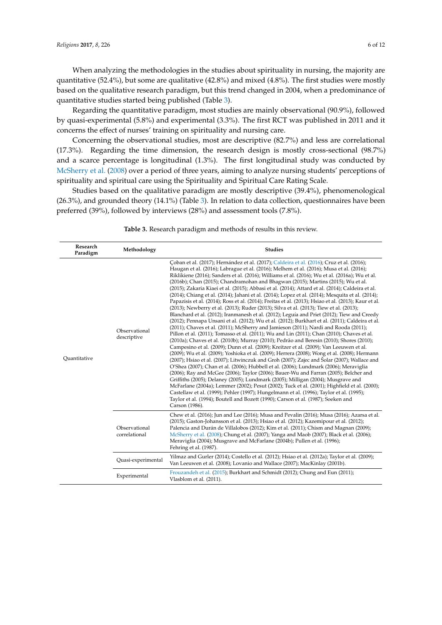When analyzing the methodologies in the studies about spirituality in nursing, the majority are quantitative (52.4%), but some are qualitative (42.8%) and mixed (4.8%). The first studies were mostly based on the qualitative research paradigm, but this trend changed in 2004, when a predominance of quantitative studies started being published (Table [3\)](#page-6-0).

Regarding the quantitative paradigm, most studies are mainly observational (90.9%), followed by quasi-experimental (5.8%) and experimental (3.3%). The first RCT was published in 2011 and it concerns the effect of nurses' training on spirituality and nursing care.

Concerning the observational studies, most are descriptive (82.7%) and less are correlational (17.3%). Regarding the time dimension, the research design is mostly cross-sectional (98.7%) and a scarce percentage is longitudinal (1.3%). The first longitudinal study was conducted by [McSherry et al.](#page-10-12) [\(2008\)](#page-10-12) over a period of three years, aiming to analyze nursing students' perceptions of spirituality and spiritual care using the Spirituality and Spiritual Care Rating Scale.

Studies based on the qualitative paradigm are mostly descriptive (39.4%), phenomenological (26.3%), and grounded theory (14.1%) (Table [3\)](#page-6-0). In relation to data collection, questionnaires have been preferred (39%), followed by interviews (28%) and assessment tools (7.8%).

| Research<br>Paradigm | Methodology                    | <b>Studies</b>                                                                                                                                                                                                                                                                                                                                                                                                                                                                                                                                                                                                                                                                                                                                                                                                                                                                                                                                                                                                                                                                                                                                                                                                                                                                                                                                                                                                                                                                                                                                                                                                                                                                                                                                                                                                                                                                                                                                                                                                                                                                                                                             |
|----------------------|--------------------------------|--------------------------------------------------------------------------------------------------------------------------------------------------------------------------------------------------------------------------------------------------------------------------------------------------------------------------------------------------------------------------------------------------------------------------------------------------------------------------------------------------------------------------------------------------------------------------------------------------------------------------------------------------------------------------------------------------------------------------------------------------------------------------------------------------------------------------------------------------------------------------------------------------------------------------------------------------------------------------------------------------------------------------------------------------------------------------------------------------------------------------------------------------------------------------------------------------------------------------------------------------------------------------------------------------------------------------------------------------------------------------------------------------------------------------------------------------------------------------------------------------------------------------------------------------------------------------------------------------------------------------------------------------------------------------------------------------------------------------------------------------------------------------------------------------------------------------------------------------------------------------------------------------------------------------------------------------------------------------------------------------------------------------------------------------------------------------------------------------------------------------------------------|
| Quantitative         | Observational<br>descriptive   | Coban et al. (2017); Hernández et al. (2017); Caldeira et al. (2016); Cruz et al. (2016);<br>Haugan et al. (2016); Labrague et al. (2016); Melhem et al. (2016); Musa et al. (2016);<br>Riklikiene (2016); Sanders et al. (2016); Williams et al. (2016); Wu et al. (2016a); Wu et al.<br>(2016b); Chan (2015); Chandramohan and Bhagwan (2015); Martins (2015); Wu et al.<br>(2015); Zakaria Kiaei et al. (2015); Abbasi et al. (2014); Attard et al. (2014); Caldeira et al.<br>(2014); Chiang et al. (2014); Jahani et al. (2014); Lopez et al. (2014); Mesquita et al. (2014);<br>Papazisis et al. (2014); Ross et al. (2014); Freitas et al. (2013); Hsiao et al. (2013); Kaur et al.<br>(2013); Newberry et al. (2013); Ruder (2013); Silva et al. (2013); Tiew et al. (2013);<br>Blanchard et al. (2012); Iranmanesh et al. (2012); Leguía and Priet (2012); Tiew and Creedy<br>(2012); Pennapa Unsani et al. (2012); Wu et al. (2012); Burkhart et al. (2011); Caldeira et al.<br>(2011); Chaves et al. (2011); McSherry and Jamieson (2011); Nardi and Rooda (2011);<br>Pillon et al. (2011); Tomasso et al. (2011); Wu and Lin (2011); Chan (2010); Chaves et al.<br>(2010a); Chaves et al. (2010b); Murray (2010); Pedrão and Beresin (2010); Shores (2010);<br>Campesino et al. (2009); Dunn et al. (2009); Kreitzer et al. (2009); Van Leeuwen et al.<br>(2009); Wu et al. (2009); Yoshioka et al. (2009); Herrera (2008); Wong et al. (2008); Hermann<br>(2007); Hsiao et al. (2007); Litwinczuk and Groh (2007); Zajec and Šolar (2007); Wallace and<br>O'Shea (2007); Chan et al. (2006); Hubbell et al. (2006); Lundmark (2006); Meraviglia<br>(2006); Ray and McGee (2006); Taylor (2006); Bauer-Wu and Farran (2005); Belcher and<br>Griffiths (2005); Delaney (2005); Lundmark (2005); Milligan (2004); Musgrave and<br>McFarlane (2004a); Lemmer (2002); Pesut (2002); Tuck et al. (2001); Highfield et al. (2000);<br>Castellaw et al. (1999); Pehler (1997); Hungelmann et al. (1996); Taylor et al. (1995);<br>Taylor et al. (1994); Boutell and Bozett (1990); Carson et al. (1987); Soeken and<br>Carson (1986). |
|                      | Observational<br>correlational | Chew et al. (2016); Jun and Lee (2016); Musa and Pevalin (2016); Musa (2016); Azarsa et al.<br>(2015); Gaston-Johansson et al. (2013); Hsiao et al. (2012); Kazemipour et al. (2012);<br>Palencia and Durán de Villalobos (2012); Kim et al. (2011); Chism and Magnan (2009);<br>McSherry et al. (2008); Chung et al. (2007); Yanga and Maob (2007); Black et al. (2006);<br>Meraviglia (2004); Musgrave and McFarlane (2004b); Pullen et al. (1996);<br>Fehring et al. (1987).                                                                                                                                                                                                                                                                                                                                                                                                                                                                                                                                                                                                                                                                                                                                                                                                                                                                                                                                                                                                                                                                                                                                                                                                                                                                                                                                                                                                                                                                                                                                                                                                                                                            |
|                      | Quasi-experimental             | Yilmaz and Gurler (2014); Costello et al. (2012); Hsiao et al. (2012a); Taylor et al. (2009);<br>Van Leeuwen et al. (2008); Lovanio and Wallace (2007); MacKinlay (2001b).                                                                                                                                                                                                                                                                                                                                                                                                                                                                                                                                                                                                                                                                                                                                                                                                                                                                                                                                                                                                                                                                                                                                                                                                                                                                                                                                                                                                                                                                                                                                                                                                                                                                                                                                                                                                                                                                                                                                                                 |
|                      | Experimental                   | Frouzandeh et al. (2015); Burkhart and Schmidt (2012); Chung and Eun (2011);<br>Vlasblom et al. (2011).                                                                                                                                                                                                                                                                                                                                                                                                                                                                                                                                                                                                                                                                                                                                                                                                                                                                                                                                                                                                                                                                                                                                                                                                                                                                                                                                                                                                                                                                                                                                                                                                                                                                                                                                                                                                                                                                                                                                                                                                                                    |

**Table 3.** Research paradigm and methods of results in this review.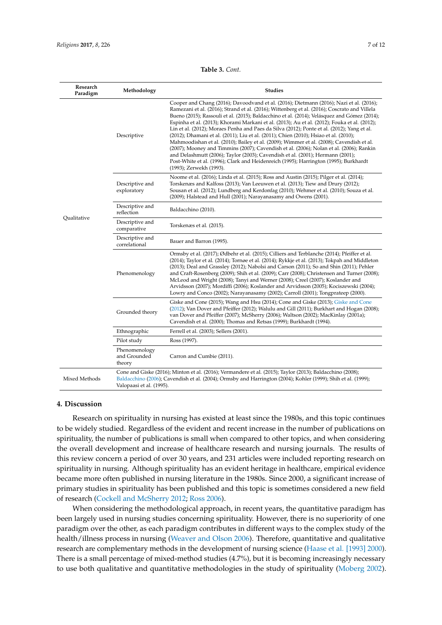|  | <b>Table 3.</b> Cont. |
|--|-----------------------|
|  |                       |

<span id="page-6-0"></span>

| Research<br>Paradigm | Methodology                                                                                                                                                                                                                                            | <b>Studies</b>                                                                                                                                                                                                                                                                                                                                                                                                                                                                                                                                                                                                                                                                                                                                                                                                                                                                                                                                                            |  |
|----------------------|--------------------------------------------------------------------------------------------------------------------------------------------------------------------------------------------------------------------------------------------------------|---------------------------------------------------------------------------------------------------------------------------------------------------------------------------------------------------------------------------------------------------------------------------------------------------------------------------------------------------------------------------------------------------------------------------------------------------------------------------------------------------------------------------------------------------------------------------------------------------------------------------------------------------------------------------------------------------------------------------------------------------------------------------------------------------------------------------------------------------------------------------------------------------------------------------------------------------------------------------|--|
| Qualitative          | Descriptive                                                                                                                                                                                                                                            | Cooper and Chang (2016); Davoodvand et al. (2016); Dietmann (2016); Nazi et al. (2016);<br>Ramezani et al. (2016); Strand et al. (2016); Wittenberg et al. (2016); Coscrato and Villela<br>Bueno (2015); Rassouli et al. (2015); Baldacchino et al. (2014); Velásquez and Gómez (2014);<br>Espinha et al. (2013); Khorami Markani et al. (2013); Au et al. (2012); Fouka et al. (2012);<br>Lin et al. (2012); Moraes Penha and Paes da Silva (2012); Ponte et al. (2012); Yang et al.<br>(2012); Dhamani et al. (2011); Liu et al. (2011); Chien (2010); Hsiao et al. (2010);<br>Mahmoodishan et al. (2010); Bailey et al. (2009); Wimmer et al. (2008); Cavendish et al.<br>(2007); Mooney and Timmins (2007); Cavendish et al. (2006); Nolan et al. (2006); Rankin<br>and Delashmutt (2006); Taylor (2003); Cavendish et al. (2001); Hermann (2001);<br>Post-White et al. (1996); Clark and Heidenreich (1995); Harrington (1995); Burkhardt<br>(1993); Zerwekh (1993). |  |
|                      | Descriptive and<br>exploratory                                                                                                                                                                                                                         | Noome et al. (2016); Linda et al. (2015); Ross and Austin (2015); Pilger et al. (2014);<br>Torskenæs and Kalfoss (2013); Van Leeuwen et al. (2013); Tiew and Drury (2012);<br>Sousan et al. (2012); Lundberg and Kerdonfag (2010); Wehmer et al. (2010); Souza et al.<br>(2009); Halstead and Hull (2001); Narayanasamy and Owens (2001).                                                                                                                                                                                                                                                                                                                                                                                                                                                                                                                                                                                                                                 |  |
|                      | Descriptive and<br>reflection                                                                                                                                                                                                                          | Baldacchino (2010).                                                                                                                                                                                                                                                                                                                                                                                                                                                                                                                                                                                                                                                                                                                                                                                                                                                                                                                                                       |  |
|                      | Descriptive and<br>comparative                                                                                                                                                                                                                         | Torskenæs et al. (2015).                                                                                                                                                                                                                                                                                                                                                                                                                                                                                                                                                                                                                                                                                                                                                                                                                                                                                                                                                  |  |
|                      | Descriptive and<br>correlational                                                                                                                                                                                                                       | Bauer and Barron (1995).                                                                                                                                                                                                                                                                                                                                                                                                                                                                                                                                                                                                                                                                                                                                                                                                                                                                                                                                                  |  |
|                      | Phenomenology                                                                                                                                                                                                                                          | Ormsby et al. (2017); Ødbehr et al. (2015); Cilliers and Terblanche (2014); Pfeiffer et al.<br>(2014); Taylor et al. (2014); Tornøe et al. (2014); Rykkje et al. (2013); Tokpah and Middleton<br>(2013); Deal and Grassley (2012); Nabolsi and Carson (2011); So and Shin (2011); Pehler<br>and Craft-Rosenberg (2009); Shih et al. (2009); Carr (2008); Christensen and Turner (2008);<br>McLeod and Wright (2008); Tanyi and Werner (2008); Creel (2007); Koslander and<br>Arvidsson (2007); Mordiffi (2006); Koslander and Arvidsson (2005); Kociszewski (2004);<br>Lowry and Conco (2002); Narayanasamy (2002); Carroll (2001); Tongprateep (2000).                                                                                                                                                                                                                                                                                                                   |  |
|                      | Grounded theory                                                                                                                                                                                                                                        | Giske and Cone (2015); Wang and Hsu (2014); Cone and Giske (2013); Giske and Cone<br>(2012); Van Dover and Pfeiffer (2012); Walulu and Gill (2011); Burkhart and Hogan (2008);<br>van Dover and Pfeiffer (2007); McSherry (2006); Waltson (2002); MacKinlay (2001a);<br>Cavendish et al. (2000); Thomas and Retsas (1999); Burkhardt (1994).                                                                                                                                                                                                                                                                                                                                                                                                                                                                                                                                                                                                                              |  |
|                      | Ethnographic                                                                                                                                                                                                                                           | Ferrell et al. (2003); Sellers (2001).                                                                                                                                                                                                                                                                                                                                                                                                                                                                                                                                                                                                                                                                                                                                                                                                                                                                                                                                    |  |
|                      | Pilot study                                                                                                                                                                                                                                            | Ross (1997).                                                                                                                                                                                                                                                                                                                                                                                                                                                                                                                                                                                                                                                                                                                                                                                                                                                                                                                                                              |  |
|                      | Phenomenology<br>and Grounded<br>theory                                                                                                                                                                                                                | Carron and Cumbie (2011).                                                                                                                                                                                                                                                                                                                                                                                                                                                                                                                                                                                                                                                                                                                                                                                                                                                                                                                                                 |  |
| Mixed Methods        | Cone and Giske (2016); Minton et al. (2016); Vermandere et al. (2015); Taylor (2013); Baldacchino (2008);<br>Baldacchino (2006); Cavendish et al. (2004); Ormsby and Harrington (2004); Kohler (1999); Shih et al. (1999);<br>Valopaasi et al. (1995). |                                                                                                                                                                                                                                                                                                                                                                                                                                                                                                                                                                                                                                                                                                                                                                                                                                                                                                                                                                           |  |

### **4. Discussion**

Research on spirituality in nursing has existed at least since the 1980s, and this topic continues to be widely studied. Regardless of the evident and recent increase in the number of publications on spirituality, the number of publications is small when compared to other topics, and when considering the overall development and increase of healthcare research and nursing journals. The results of this review concern a period of over 30 years, and 231 articles were included reporting research on spirituality in nursing. Although spirituality has an evident heritage in healthcare, empirical evidence became more often published in nursing literature in the 1980s. Since 2000, a significant increase of primary studies in spirituality has been published and this topic is sometimes considered a new field of research [\(Cockell and McSherry](#page-9-11) [2012;](#page-9-11) [Ross](#page-10-11) [2006\)](#page-10-11).

When considering the methodological approach, in recent years, the quantitative paradigm has been largely used in nursing studies concerning spirituality. However, there is no superiority of one paradigm over the other, as each paradigm contributes in different ways to the complex study of the health/illness process in nursing [\(Weaver and Olson](#page-11-6) [2006\)](#page-11-6). Therefore, quantitative and qualitative research are complementary methods in the development of nursing science [\(Haase et al.](#page-10-13) [1993] [2000\)](#page-10-13). There is a small percentage of mixed-method studies (4.7%), but it is becoming increasingly necessary to use both qualitative and quantitative methodologies in the study of spirituality [\(Moberg](#page-10-14) [2002\)](#page-10-14).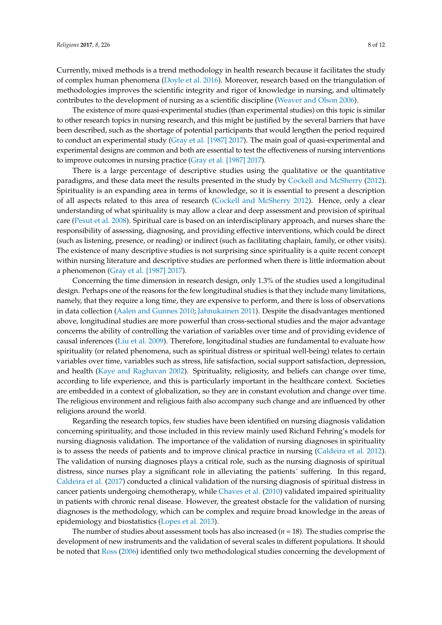Currently, mixed methods is a trend methodology in health research because it facilitates the study of complex human phenomena [\(Doyle et al.](#page-9-12) [2016\)](#page-9-12). Moreover, research based on the triangulation of methodologies improves the scientific integrity and rigor of knowledge in nursing, and ultimately contributes to the development of nursing as a scientific discipline [\(Weaver and Olson](#page-11-6) [2006\)](#page-11-6).

The existence of more quasi-experimental studies (than experimental studies) on this topic is similar to other research topics in nursing research, and this might be justified by the several barriers that have been described, such as the shortage of potential participants that would lengthen the period required to conduct an experimental study [\(Gray et al.](#page-10-15) [1987] [2017\)](#page-10-15). The main goal of quasi-experimental and experimental designs are common and both are essential to test the effectiveness of nursing interventions to improve outcomes in nursing practice [\(Gray et al. \[1987\]](#page-10-15) [2017\)](#page-10-15).

There is a large percentage of descriptive studies using the qualitative or the quantitative paradigms, and these data meet the results presented in the study by [Cockell and McSherry](#page-9-11) [\(2012\)](#page-9-11). Spirituality is an expanding area in terms of knowledge, so it is essential to present a description of all aspects related to this area of research [\(Cockell and McSherry](#page-9-11) [2012\)](#page-9-11). Hence, only a clear understanding of what spirituality is may allow a clear and deep assessment and provision of spiritual care [\(Pesut et al.](#page-10-16) [2008\)](#page-10-16). Spiritual care is based on an interdisciplinary approach, and nurses share the responsibility of assessing, diagnosing, and providing effective interventions, which could be direct (such as listening, presence, or reading) or indirect (such as facilitating chaplain, family, or other visits). The existence of many descriptive studies is not surprising since spirituality is a quite recent concept within nursing literature and descriptive studies are performed when there is little information about a phenomenon [\(Gray et al. \[1987\]](#page-10-15) [2017\)](#page-10-15).

Concerning the time dimension in research design, only 1.3% of the studies used a longitudinal design. Perhaps one of the reasons for the few longitudinal studies is that they include many limitations, namely, that they require a long time, they are expensive to perform, and there is loss of observations in data collection [\(Aalen and Gunnes](#page-9-13) [2010;](#page-9-13) [Jahnukainen](#page-10-17) [2011\)](#page-10-17). Despite the disadvantages mentioned above, longitudinal studies are more powerful than cross-sectional studies and the major advantage concerns the ability of controlling the variation of variables over time and of providing evidence of causal inferences [\(Liu et al.](#page-10-18) [2009\)](#page-10-18). Therefore, longitudinal studies are fundamental to evaluate how spirituality (or related phenomena, such as spiritual distress or spiritual well-being) relates to certain variables over time, variables such as stress, life satisfaction, social support satisfaction, depression, and health [\(Kaye and Raghavan](#page-10-19) [2002\)](#page-10-19). Spirituality, religiosity, and beliefs can change over time, according to life experience, and this is particularly important in the healthcare context. Societies are embedded in a context of globalization, so they are in constant evolution and change over time. The religious environment and religious faith also accompany such change and are influenced by other religions around the world.

Regarding the research topics, few studies have been identified on nursing diagnosis validation concerning spirituality, and those included in this review mainly used Richard Fehring's models for nursing diagnosis validation. The importance of the validation of nursing diagnoses in spirituality is to assess the needs of patients and to improve clinical practice in nursing [\(Caldeira et al.](#page-9-14) [2012\)](#page-9-14). The validation of nursing diagnoses plays a critical role, such as the nursing diagnosis of spiritual distress, since nurses play a significant role in alleviating the patients´ suffering. In this regard, [Caldeira et al.](#page-9-15) [\(2017\)](#page-9-15) conducted a clinical validation of the nursing diagnosis of spiritual distress in cancer patients undergoing chemotherapy, while [Chaves et al.](#page-9-16) [\(2010\)](#page-9-16) validated impaired spirituality in patients with chronic renal disease. However, the greatest obstacle for the validation of nursing diagnoses is the methodology, which can be complex and require broad knowledge in the areas of epidemiology and biostatistics [\(Lopes et al.](#page-10-20) [2013\)](#page-10-20).

The number of studies about assessment tools has also increased  $(n = 18)$ . The studies comprise the development of new instruments and the validation of several scales in different populations. It should be noted that [Ross](#page-10-11) [\(2006\)](#page-10-11) identified only two methodological studies concerning the development of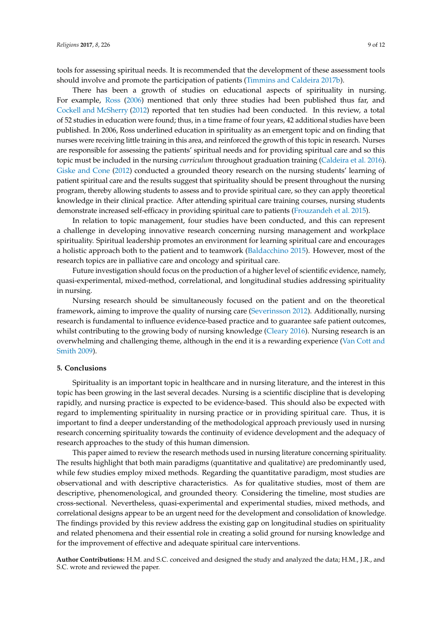tools for assessing spiritual needs. It is recommended that the development of these assessment tools should involve and promote the participation of patients [\(Timmins and Caldeira](#page-11-4) [2017b\)](#page-11-4).

There has been a growth of studies on educational aspects of spirituality in nursing. For example, [Ross](#page-10-11) [\(2006\)](#page-10-11) mentioned that only three studies had been published thus far, and [Cockell and McSherry](#page-9-11) [\(2012\)](#page-9-11) reported that ten studies had been conducted. In this review, a total of 52 studies in education were found; thus, in a time frame of four years, 42 additional studies have been published. In 2006, Ross underlined education in spirituality as an emergent topic and on finding that nurses were receiving little training in this area, and reinforced the growth of this topic in research. Nurses are responsible for assessing the patients' spiritual needs and for providing spiritual care and so this topic must be included in the nursing *curriculum* throughout graduation training [\(Caldeira et al.](#page-9-9) [2016\)](#page-9-9). [Giske and Cone](#page-9-8) [\(2012\)](#page-9-8) conducted a grounded theory research on the nursing students' learning of patient spiritual care and the results suggest that spirituality should be present throughout the nursing program, thereby allowing students to assess and to provide spiritual care, so they can apply theoretical knowledge in their clinical practice. After attending spiritual care training courses, nursing students demonstrate increased self-efficacy in providing spiritual care to patients [\(Frouzandeh et al.](#page-9-10) [2015\)](#page-9-10).

In relation to topic management, four studies have been conducted, and this can represent a challenge in developing innovative research concerning nursing management and workplace spirituality. Spiritual leadership promotes an environment for learning spiritual care and encourages a holistic approach both to the patient and to teamwork [\(Baldacchino](#page-9-17) [2015\)](#page-9-17). However, most of the research topics are in palliative care and oncology and spiritual care.

Future investigation should focus on the production of a higher level of scientific evidence, namely, quasi-experimental, mixed-method, correlational, and longitudinal studies addressing spirituality in nursing.

Nursing research should be simultaneously focused on the patient and on the theoretical framework, aiming to improve the quality of nursing care [\(Severinsson](#page-10-21) [2012\)](#page-10-21). Additionally, nursing research is fundamental to influence evidence-based practice and to guarantee safe patient outcomes, whilst contributing to the growing body of nursing knowledge [\(Cleary](#page-9-18) [2016\)](#page-9-18). Nursing research is an overwhelming and challenging theme, although in the end it is a rewarding experience [\(Van Cott and](#page-11-7) [Smith](#page-11-7) [2009\)](#page-11-7).

### **5. Conclusions**

Spirituality is an important topic in healthcare and in nursing literature, and the interest in this topic has been growing in the last several decades. Nursing is a scientific discipline that is developing rapidly, and nursing practice is expected to be evidence-based. This should also be expected with regard to implementing spirituality in nursing practice or in providing spiritual care. Thus, it is important to find a deeper understanding of the methodological approach previously used in nursing research concerning spirituality towards the continuity of evidence development and the adequacy of research approaches to the study of this human dimension.

This paper aimed to review the research methods used in nursing literature concerning spirituality. The results highlight that both main paradigms (quantitative and qualitative) are predominantly used, while few studies employ mixed methods. Regarding the quantitative paradigm, most studies are observational and with descriptive characteristics. As for qualitative studies, most of them are descriptive, phenomenological, and grounded theory. Considering the timeline, most studies are cross-sectional. Nevertheless, quasi-experimental and experimental studies, mixed methods, and correlational designs appear to be an urgent need for the development and consolidation of knowledge. The findings provided by this review address the existing gap on longitudinal studies on spirituality and related phenomena and their essential role in creating a solid ground for nursing knowledge and for the improvement of effective and adequate spiritual care interventions.

**Author Contributions:** H.M. and S.C. conceived and designed the study and analyzed the data; H.M., J.R., and S.C. wrote and reviewed the paper.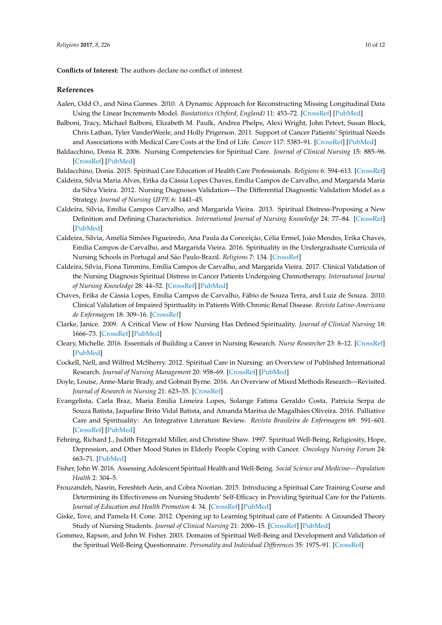**Conflicts of Interest:** The authors declare no conflict of interest.

### **References**

- <span id="page-9-13"></span>Aalen, Odd O., and Nina Gunnes. 2010. A Dynamic Approach for Reconstructing Missing Longitudinal Data Using the Linear Increments Model. *Biostatistics (Oxford, England)* 11: 453–72. [\[CrossRef\]](http://dx.doi.org/10.1093/biostatistics/kxq014) [\[PubMed\]](http://www.ncbi.nlm.nih.gov/pubmed/20388914)
- <span id="page-9-2"></span>Balboni, Tracy, Michael Balboni, Elizabeth M. Paulk, Andrea Phelps, Alexi Wright, John Peteet, Susan Block, Chris Lathan, Tyler VanderWeele, and Holly Prigerson. 2011. Support of Cancer Patients' Spiritual Needs and Associations with Medical Care Costs at the End of Life. *Cancer* 117: 5383–91. [\[CrossRef\]](http://dx.doi.org/10.1002/cncr.26221) [\[PubMed\]](http://www.ncbi.nlm.nih.gov/pubmed/21563177)
- <span id="page-9-3"></span>Baldacchino, Donia R. 2006. Nursing Competencies for Spiritual Care. *Journal of Clinical Nursing* 15: 885–96. [\[CrossRef\]](http://dx.doi.org/10.1111/j.1365-2702.2006.01643.x) [\[PubMed\]](http://www.ncbi.nlm.nih.gov/pubmed/16879381)
- <span id="page-9-17"></span>Baldacchino, Donia. 2015. Spiritual Care Education of Health Care Professionals. *Religions* 6: 594–613. [\[CrossRef\]](http://dx.doi.org/10.3390/rel6020594)
- <span id="page-9-14"></span>Caldeira, Sílvia Maria Alves, Erika da Cássia Lopes Chaves, Emília Campos de Carvalho, and Margarida Maria da Silva Vieira. 2012. Nursing Diagnoses Validation—The Differential Diagnostic Validation Model as a Strategy. *Journal of Nursing UFPE* 6: 1441–45.
- <span id="page-9-6"></span>Caldeira, Sílvia, Emília Campos Carvalho, and Margarida Vieira. 2013. Spiritual Distress-Proposing a New Definition and Defining Characteristics. *International Journal of Nursing Knowledge* 24: 77–84. [\[CrossRef\]](http://dx.doi.org/10.1111/j.2047-3095.2013.01234.x) [\[PubMed\]](http://www.ncbi.nlm.nih.gov/pubmed/23465219)
- <span id="page-9-9"></span>Caldeira, Sílvia, Amélia Simões Figueiredo, Ana Paula da Conceição, Célia Ermel, João Mendes, Erika Chaves, Emília Campos de Carvalho, and Margarida Vieira. 2016. Spirituality in the Undergraduate Curricula of Nursing Schools in Portugal and São Paulo-Brazil. *Religions* 7: 134. [\[CrossRef\]](http://dx.doi.org/10.3390/rel7110134)
- <span id="page-9-15"></span>Caldeira, Sílvia, Fiona Timmins, Emília Campos de Carvalho, and Margarida Vieira. 2017. Clinical Validation of the Nursing Diagnosis Spiritual Distress in Cancer Patients Undergoing Chemotherapy. *International Journal of Nursing Knowledge* 28: 44–52. [\[CrossRef\]](http://dx.doi.org/10.1111/2047-3095.12105) [\[PubMed\]](http://www.ncbi.nlm.nih.gov/pubmed/26095541)
- <span id="page-9-16"></span>Chaves, Erika de Cássia Lopes, Emília Campos de Carvalho, Fábio de Souza Terra, and Luiz de Souza. 2010. Clinical Validation of Impaired Spirituality in Patients With Chronic Renal Disease. *Revista Latino-Americana de Enfermagem* 18: 309–16. [\[CrossRef\]](http://dx.doi.org/10.1590/S0104-11692010000300003)
- <span id="page-9-7"></span>Clarke, Janice. 2009. A Critical View of How Nursing Has Defined Spirituality. *Journal of Clinical Nursing* 18: 1666–73. [\[CrossRef\]](http://dx.doi.org/10.1111/j.1365-2702.2008.02707.x) [\[PubMed\]](http://www.ncbi.nlm.nih.gov/pubmed/19646113)
- <span id="page-9-18"></span>Cleary, Michelle. 2016. Essentials of Building a Career in Nursing Research. *Nurse Researcher* 23: 8–12. [\[CrossRef\]](http://dx.doi.org/10.7748/nr.2016.e1412) [\[PubMed\]](http://www.ncbi.nlm.nih.gov/pubmed/27424961)
- <span id="page-9-11"></span>Cockell, Nell, and Wilfred McSherry. 2012. Spiritual Care in Nursing: an Overview of Published International Research. *Journal of Nursing Management* 20: 958–69. [\[CrossRef\]](http://dx.doi.org/10.1111/j.1365-2834.2012.01450.x) [\[PubMed\]](http://www.ncbi.nlm.nih.gov/pubmed/23151098)
- <span id="page-9-12"></span>Doyle, Louise, Anne-Marie Brady, and Gobnait Byrne. 2016. An Overview of Mixed Methods Research—Revisited. *Journal of Research in Nursing* 21: 623–35. [\[CrossRef\]](http://dx.doi.org/10.1177/1744987116674257)
- <span id="page-9-0"></span>Evangelista, Carla Braz, Maria Emilia Limeira Lopes, Solange Fatima Geraldo Costa, Patricia Serpa de Souza Batista, Jaqueline Brito Vidal Batista, and Amanda Maritsa de Magalhães Oliveira. 2016. Palliative Care and Spirituality: An Integrative Literature Review. *Revista Brasileira de Enfermagem* 69: 591–601. [\[CrossRef\]](http://dx.doi.org/10.1590/0034-7167.2016690324i) [\[PubMed\]](http://www.ncbi.nlm.nih.gov/pubmed/27355311)
- <span id="page-9-5"></span>Fehring, Richard J., Judith Fitzgerald Miller, and Christine Shaw. 1997. Spiritual Well-Being, Religiosity, Hope, Depression, and Other Mood States in Elderly People Coping with Cancer. *Oncology Nursing Forum* 24: 663–71. [\[PubMed\]](http://www.ncbi.nlm.nih.gov/pubmed/9159782)
- <span id="page-9-1"></span>Fisher, John W. 2016. Assessing Adolescent Spiritual Health and Well-Being. *Social Science and Medicine—Population Health* 2: 304–5.
- <span id="page-9-10"></span>Frouzandeh, Nasrin, Fereshteh Aein, and Cobra Noorian. 2015. Introducing a Spiritual Care Training Course and Determining its Effectiveness on Nursing Students' Self-Efficacy in Providing Spiritual Care for the Patients. *Journal of Education and Health Promotion* 4: 34. [\[CrossRef\]](http://dx.doi.org/10.4103/2277-9531) [\[PubMed\]](http://www.ncbi.nlm.nih.gov/pubmed/26097848)
- <span id="page-9-8"></span>Giske, Tove, and Pamela H. Cone. 2012. Opening up to Learning Spiritual care of Patients: A Grounded Theory Study of Nursing Students. *Journal of Clinical Nursing* 21: 2006–15. [\[CrossRef\]](http://dx.doi.org/10.1111/j.1365-2702.2011.04054.x) [\[PubMed\]](http://www.ncbi.nlm.nih.gov/pubmed/22568656)
- <span id="page-9-4"></span>Gommez, Rapson, and John W. Fisher. 2003. Domains of Spiritual Well-Being and Development and Validation of the Spiritual Well-Being Questionnaire. *Personality and Individual Differences* 35: 1975–91. [\[CrossRef\]](http://dx.doi.org/10.1016/S0191-8869(03)00045-X)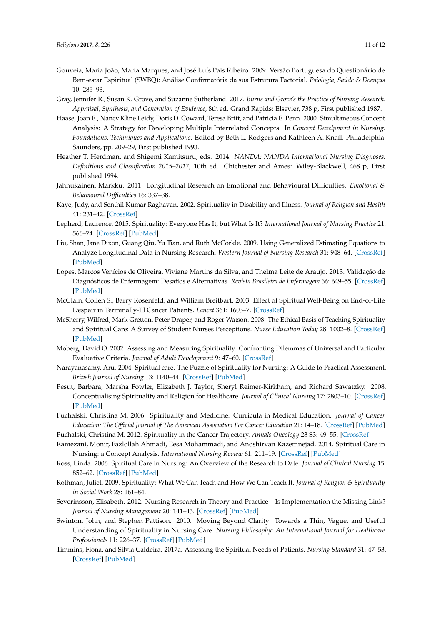- <span id="page-10-9"></span>Gouveia, Maria João, Marta Marques, and José Luís Pais Ribeiro. 2009. Versão Portuguesa do Questionário de Bem-estar Espiritual (SWBQ): Análise Confirmatória da sua Estrutura Factorial. *Psiologia, Saúde & Doenças* 10: 285–93.
- <span id="page-10-15"></span>Gray, Jennifer R., Susan K. Grove, and Suzanne Sutherland. 2017. *Burns and Grove's the Practice of Nursing Research: Appraisal, Synthesis, and Generation of Evidence*, 8th ed. Grand Rapids: Elsevier, 738 p, First published 1987.
- <span id="page-10-13"></span>Haase, Joan E., Nancy Kline Leidy, Doris D. Coward, Teresa Britt, and Patricia E. Penn. 2000. Simultaneous Concept Analysis: A Strategy for Developing Multiple Interrelated Concepts. In *Concept Develpment in Nursing: Foundations, Techiniques and Applications*. Edited by Beth L. Rodgers and Kathleen A. Knafl. Philadelphia: Saunders, pp. 209–29, First published 1993.
- <span id="page-10-10"></span>Heather T. Herdman, and Shigemi Kamitsuru, eds. 2014. *NANDA: NANDA International Nursing Diagnoses: Definitions and Classification 2015–2017*, 10th ed. Chichester and Ames: Wiley-Blackwell, 468 p, First published 1994.
- <span id="page-10-17"></span>Jahnukainen, Markku. 2011. Longitudinal Research on Emotional and Behavioural Difficulties. *Emotional & Behavioural Difficulties* 16: 337–38.
- <span id="page-10-19"></span>Kaye, Judy, and Senthil Kumar Raghavan. 2002. Spirituality in Disability and Illness. *Journal of Religion and Health* 41: 231–42. [\[CrossRef\]](http://dx.doi.org/10.1023/A:1020284819593)
- <span id="page-10-0"></span>Lepherd, Laurence. 2015. Spirituality: Everyone Has It, but What Is It? *International Journal of Nursing Practice* 21: 566–74. [\[CrossRef\]](http://dx.doi.org/10.1111/ijn.12285) [\[PubMed\]](http://www.ncbi.nlm.nih.gov/pubmed/24666816)
- <span id="page-10-18"></span>Liu, Shan, Jane Dixon, Guang Qiu, Yu Tian, and Ruth McCorkle. 2009. Using Generalized Estimating Equations to Analyze Longitudinal Data in Nursing Research. *Western Journal of Nursing Research* 31: 948–64. [\[CrossRef\]](http://dx.doi.org/10.1177/0193945909336931) [\[PubMed\]](http://www.ncbi.nlm.nih.gov/pubmed/19520966)
- <span id="page-10-20"></span>Lopes, Marcos Venícios de Oliveira, Viviane Martins da Silva, and Thelma Leite de Araujo. 2013. Validação de Diagnósticos de Enfermagem: Desafios e Alternativas. *Revista Brasileira de Enfermagem* 66: 649–55. [\[CrossRef\]](http://dx.doi.org/10.1590/S0034-71672013000500002) [\[PubMed\]](http://www.ncbi.nlm.nih.gov/pubmed/24217746)
- <span id="page-10-5"></span>McClain, Collen S., Barry Rosenfeld, and William Breitbart. 2003. Effect of Spiritual Well-Being on End-of-Life Despair in Terminally-Ill Cancer Patients. *Lancet* 361: 1603–7. [\[CrossRef\]](http://dx.doi.org/10.1016/S0140-6736(03)13310-7)
- <span id="page-10-12"></span>McSherry, Wilfred, Mark Gretton, Peter Draper, and Roger Watson. 2008. The Ethical Basis of Teaching Spirituality and Spiritual Care: A Survey of Student Nurses Perceptions. *Nurse Education Today* 28: 1002–8. [\[CrossRef\]](http://dx.doi.org/10.1016/j.nedt.2008.05.013) [\[PubMed\]](http://www.ncbi.nlm.nih.gov/pubmed/18597898)
- <span id="page-10-14"></span>Moberg, David O. 2002. Assessing and Measuring Spirituality: Confronting Dilemmas of Universal and Particular Evaluative Criteria. *Journal of Adult Development* 9: 47–60. [\[CrossRef\]](http://dx.doi.org/10.1023/A:1013877201375)
- <span id="page-10-2"></span>Narayanasamy, Aru. 2004. Spiritual care. The Puzzle of Spirituality for Nursing: A Guide to Practical Assessment. *British Journal of Nursing* 13: 1140–44. [\[CrossRef\]](http://dx.doi.org/10.12968/bjon.2004.13.19.16322) [\[PubMed\]](http://www.ncbi.nlm.nih.gov/pubmed/15573007)
- <span id="page-10-16"></span>Pesut, Barbara, Marsha Fowler, Elizabeth J. Taylor, Sheryl Reimer-Kirkham, and Richard Sawatzky. 2008. Conceptualising Spirituality and Religion for Healthcare. *Journal of Clinical Nursing* 17: 2803–10. [\[CrossRef\]](http://dx.doi.org/10.1111/j.1365-2702.2008.02344.x) [\[PubMed\]](http://www.ncbi.nlm.nih.gov/pubmed/18665876)
- <span id="page-10-8"></span>Puchalski, Christina M. 2006. Spirituality and Medicine: Curricula in Medical Education. *Journal of Cancer Education: The Official Journal of The American Association For Cancer Education* 21: 14–18. [\[CrossRef\]](http://dx.doi.org/10.1207/s15430154jce2101_6) [\[PubMed\]](http://www.ncbi.nlm.nih.gov/pubmed/16918282)
- <span id="page-10-6"></span>Puchalski, Christina M. 2012. Spirituality in the Cancer Trajectory. *Annals Oncology* 23 S3: 49–55. [\[CrossRef\]](http://dx.doi.org/10.1093/annonc/mds088)
- <span id="page-10-7"></span>Ramezani, Monir, Fazlollah Ahmadi, Eesa Mohammadi, and Anoshirvan Kazemnejad. 2014. Spiritual Care in Nursing: a Concept Analysis. *International Nursing Review* 61: 211–19. [\[CrossRef\]](http://dx.doi.org/10.1111/inr.12099) [\[PubMed\]](http://www.ncbi.nlm.nih.gov/pubmed/24712404)
- <span id="page-10-11"></span>Ross, Linda. 2006. Spiritual Care in Nursing: An Overview of the Research to Date. *Journal of Clinical Nursing* 15: 852–62. [\[CrossRef\]](http://dx.doi.org/10.1111/j.1365-2702.2006.01617.x) [\[PubMed\]](http://www.ncbi.nlm.nih.gov/pubmed/16879378)
- <span id="page-10-3"></span>Rothman, Juliet. 2009. Spirituality: What We Can Teach and How We Can Teach It. *Journal of Religion & Spirituality in Social Work* 28: 161–84.
- <span id="page-10-21"></span>Severinsson, Elisabeth. 2012. Nursing Research in Theory and Practice—Is Implementation the Missing Link? *Journal of Nursing Management* 20: 141–43. [\[CrossRef\]](http://dx.doi.org/10.1111/j.1365-2834.2012.01387.x) [\[PubMed\]](http://www.ncbi.nlm.nih.gov/pubmed/22380408)
- <span id="page-10-1"></span>Swinton, John, and Stephen Pattison. 2010. Moving Beyond Clarity: Towards a Thin, Vague, and Useful Understanding of Spirituality in Nursing Care. *Nursing Philosophy: An International Journal for Healthcare Professionals* 11: 226–37. [\[CrossRef\]](http://dx.doi.org/10.1111/j.1466-769X.2010.00450.x) [\[PubMed\]](http://www.ncbi.nlm.nih.gov/pubmed/20840134)
- <span id="page-10-4"></span>Timmins, Fiona, and Sílvia Caldeira. 2017a. Assessing the Spiritual Needs of Patients. *Nursing Standard* 31: 47–53. [\[CrossRef\]](http://dx.doi.org/10.7748/ns.2017.e10312) [\[PubMed\]](http://www.ncbi.nlm.nih.gov/pubmed/28294021)